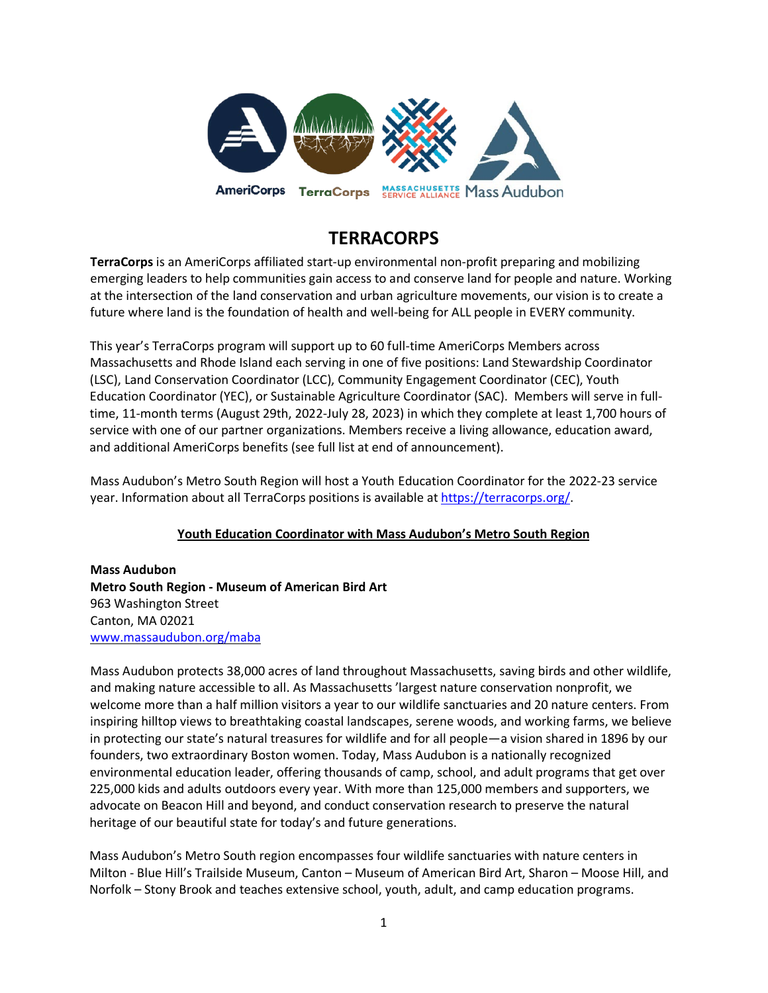

# **TERRACORPS**

**TerraCorps** is an AmeriCorps affiliated start-up environmental non-profit preparing and mobilizing emerging leaders to help communities gain access to and conserve land for people and nature. Working at the intersection of the land conservation and urban agriculture movements, our vision is to create a future where land is the foundation of health and well-being for ALL people in EVERY community.

This year's TerraCorps program will support up to 60 full-time AmeriCorps Members across Massachusetts and Rhode Island each serving in one of five positions: Land Stewardship Coordinator (LSC), Land Conservation Coordinator (LCC), Community Engagement Coordinator (CEC), Youth Education Coordinator (YEC), or Sustainable Agriculture Coordinator (SAC). Members will serve in fulltime, 11-month terms (August 29th, 2022-July 28, 2023) in which they complete at least 1,700 hours of service with one of our partner organizations. Members receive a living allowance, education award, and additional AmeriCorps benefits (see full list at end of announcement).

Mass Audubon's Metro South Region will host a Youth Education Coordinator for the 2022-23 service year. Information about all TerraCorps positions is available at [https://terracorps.org/.](https://terracorps.org/)

## **Youth Education Coordinator with Mass Audubon's Metro South Region**

**Mass Audubon Metro South Region - Museum of American Bird Art** 963 Washington Street Canton, MA 02021 [www.massaudubon.org/maba](http://mountgrace.org/)

Mass Audubon protects 38,000 acres of land throughout Massachusetts, saving birds and other wildlife, and making nature accessible to all. As Massachusetts 'largest nature conservation nonprofit, we welcome more than a half million visitors a year to our wildlife sanctuaries and 20 nature centers. From inspiring hilltop views to breathtaking coastal landscapes, serene woods, and working farms, we believe in protecting our state's natural treasures for wildlife and for all people—a vision shared in 1896 by our founders, two extraordinary Boston women. Today, Mass Audubon is a nationally recognized environmental education leader, offering thousands of camp, school, and adult programs that get over 225,000 kids and adults outdoors every year. With more than 125,000 members and supporters, we advocate on Beacon Hill and beyond, and conduct conservation research to preserve the natural heritage of our beautiful state for today's and future generations.

Mass Audubon's Metro South region encompasses four wildlife sanctuaries with nature centers in Milton - Blue Hill's Trailside Museum, Canton – Museum of American Bird Art, Sharon – Moose Hill, and Norfolk – Stony Brook and teaches extensive school, youth, adult, and camp education programs.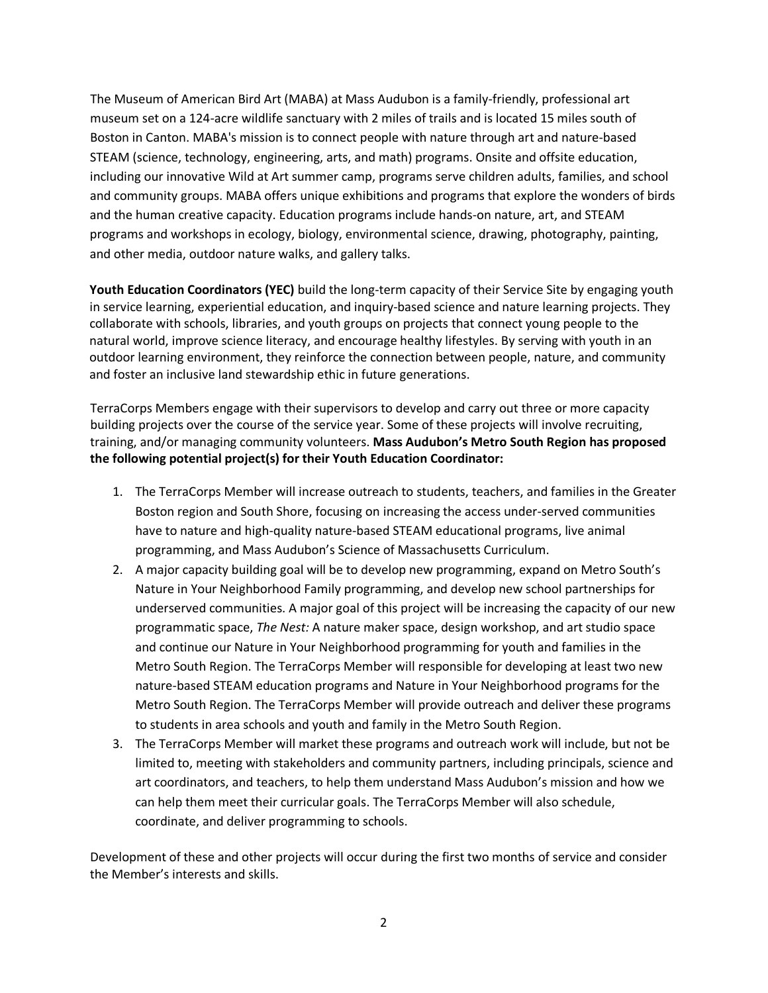The Museum of American Bird Art (MABA) at Mass Audubon is a family-friendly, professional art museum set on a 124-acre wildlife sanctuary with 2 miles of trails and is located 15 miles south of Boston in Canton. MABA's mission is to connect people with nature through art and nature-based STEAM (science, technology, engineering, arts, and math) programs. Onsite and offsite education, including our innovative Wild at Art summer camp, programs serve children adults, families, and school and community groups. MABA offers unique exhibitions and programs that explore the wonders of birds and the human creative capacity. Education programs include hands-on nature, art, and STEAM programs and workshops in ecology, biology, environmental science, drawing, photography, painting, and other media, outdoor nature walks, and gallery talks.

**Youth Education Coordinators (YEC)** build the long-term capacity of their Service Site by engaging youth in service learning, experiential education, and inquiry-based science and nature learning projects. They collaborate with schools, libraries, and youth groups on projects that connect young people to the natural world, improve science literacy, and encourage healthy lifestyles. By serving with youth in an outdoor learning environment, they reinforce the connection between people, nature, and community and foster an inclusive land stewardship ethic in future generations.

TerraCorps Members engage with their supervisors to develop and carry out three or more capacity building projects over the course of the service year. Some of these projects will involve recruiting, training, and/or managing community volunteers. **Mass Audubon's Metro South Region has proposed the following potential project(s) for their Youth Education Coordinator:**

- 1. The TerraCorps Member will increase outreach to students, teachers, and families in the Greater Boston region and South Shore, focusing on increasing the access under-served communities have to nature and high-quality nature-based STEAM educational programs, live animal programming, and Mass Audubon's Science of Massachusetts Curriculum.
- 2. A major capacity building goal will be to develop new programming, expand on Metro South's Nature in Your Neighborhood Family programming, and develop new school partnerships for underserved communities. A major goal of this project will be increasing the capacity of our new programmatic space, *The Nest:* A nature maker space, design workshop, and art studio space and continue our Nature in Your Neighborhood programming for youth and families in the Metro South Region. The TerraCorps Member will responsible for developing at least two new nature-based STEAM education programs and Nature in Your Neighborhood programs for the Metro South Region. The TerraCorps Member will provide outreach and deliver these programs to students in area schools and youth and family in the Metro South Region.
- 3. The TerraCorps Member will market these programs and outreach work will include, but not be limited to, meeting with stakeholders and community partners, including principals, science and art coordinators, and teachers, to help them understand Mass Audubon's mission and how we can help them meet their curricular goals. The TerraCorps Member will also schedule, coordinate, and deliver programming to schools.

Development of these and other projects will occur during the first two months of service and consider the Member's interests and skills.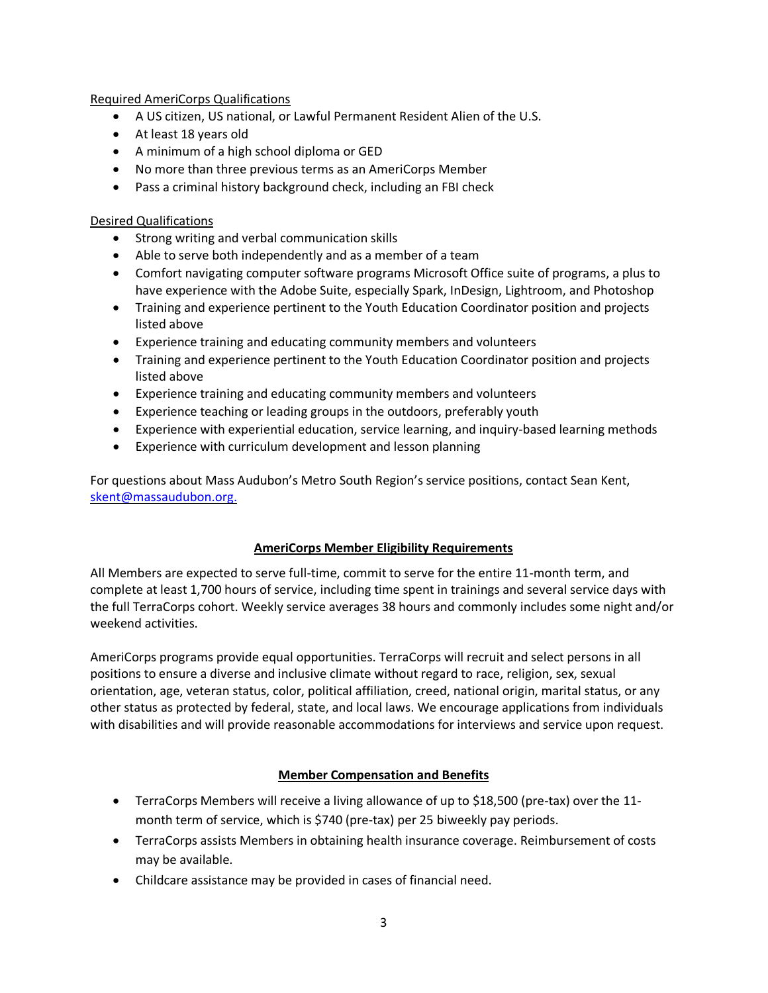#### Required AmeriCorps Qualifications

- A US citizen, US national, or Lawful Permanent Resident Alien of the U.S.
- At least 18 years old
- A minimum of a high school diploma or GED
- No more than three previous terms as an AmeriCorps Member
- Pass a criminal history background check, including an FBI check

## Desired Qualifications

- Strong writing and verbal communication skills
- Able to serve both independently and as a member of a team
- Comfort navigating computer software programs Microsoft Office suite of programs, a plus to have experience with the Adobe Suite, especially Spark, InDesign, Lightroom, and Photoshop
- Training and experience pertinent to the Youth Education Coordinator position and projects listed above
- Experience training and educating community members and volunteers
- Training and experience pertinent to the Youth Education Coordinator position and projects listed above
- Experience training and educating community members and volunteers
- Experience teaching or leading groups in the outdoors, preferably youth
- Experience with experiential education, service learning, and inquiry-based learning methods
- Experience with curriculum development and lesson planning

For questions about Mass Audubon's Metro South Region's service positions, contact Sean Kent, [skent@massaudubon.org.](mailto:skent@massaudubon.org)

#### **AmeriCorps Member Eligibility Requirements**

All Members are expected to serve full-time, commit to serve for the entire 11-month term, and complete at least 1,700 hours of service, including time spent in trainings and several service days with the full TerraCorps cohort. Weekly service averages 38 hours and commonly includes some night and/or weekend activities.

AmeriCorps programs provide equal opportunities. TerraCorps will recruit and select persons in all positions to ensure a diverse and inclusive climate without regard to race, religion, sex, sexual orientation, age, veteran status, color, political affiliation, creed, national origin, marital status, or any other status as protected by federal, state, and local laws. We encourage applications from individuals with disabilities and will provide reasonable accommodations for interviews and service upon request.

## **Member Compensation and Benefits**

- TerraCorps Members will receive a living allowance of up to \$18,500 (pre-tax) over the 11month term of service, which is \$740 (pre-tax) per 25 biweekly pay periods.
- TerraCorps assists Members in obtaining health insurance coverage. Reimbursement of costs may be available.
- Childcare assistance may be provided in cases of financial need.